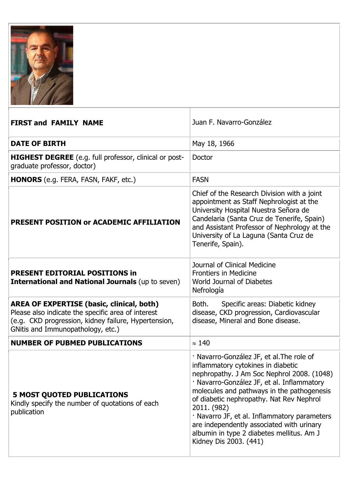

| <b>FIRST and FAMILY NAME</b>                                                                                                                                                                        | Juan F. Navarro-González                                                                                                                                                                                                                                                                                                                                                                                                                                 |
|-----------------------------------------------------------------------------------------------------------------------------------------------------------------------------------------------------|----------------------------------------------------------------------------------------------------------------------------------------------------------------------------------------------------------------------------------------------------------------------------------------------------------------------------------------------------------------------------------------------------------------------------------------------------------|
| <b>DATE OF BIRTH</b>                                                                                                                                                                                | May 18, 1966                                                                                                                                                                                                                                                                                                                                                                                                                                             |
| HIGHEST DEGREE (e.g. full professor, clinical or post-<br>graduate professor, doctor)                                                                                                               | Doctor                                                                                                                                                                                                                                                                                                                                                                                                                                                   |
| <b>HONORS</b> (e.g. FERA, FASN, FAKF, etc.)                                                                                                                                                         | <b>FASN</b>                                                                                                                                                                                                                                                                                                                                                                                                                                              |
| PRESENT POSITION or ACADEMIC AFFILIATION                                                                                                                                                            | Chief of the Research Division with a joint<br>appointment as Staff Nephrologist at the<br>University Hospital Nuestra Señora de<br>Candelaria (Santa Cruz de Tenerife, Spain)<br>and Assistant Professor of Nephrology at the<br>University of La Laguna (Santa Cruz de<br>Tenerife, Spain).                                                                                                                                                            |
| <b>PRESENT EDITORIAL POSITIONS in</b><br><b>International and National Journals (up to seven)</b>                                                                                                   | Journal of Clinical Medicine<br><b>Frontiers in Medicine</b><br><b>World Journal of Diabetes</b><br>Nefrología                                                                                                                                                                                                                                                                                                                                           |
| <b>AREA OF EXPERTISE (basic, clinical, both)</b><br>Please also indicate the specific area of interest<br>(e.g. CKD progression, kidney failure, Hypertension,<br>GNitis and Immunopathology, etc.) | Both.<br>Specific areas: Diabetic kidney<br>disease, CKD progression, Cardiovascular<br>disease, Mineral and Bone disease.                                                                                                                                                                                                                                                                                                                               |
| <b>NUMBER OF PUBMED PUBLICATIONS</b>                                                                                                                                                                | $\approx$ 140                                                                                                                                                                                                                                                                                                                                                                                                                                            |
| <b>5 MOST QUOTED PUBLICATIONS</b><br>Kindly specify the number of quotations of each<br>publication                                                                                                 | · Navarro-González JF, et al. The role of<br>inflammatory cytokines in diabetic<br>nephropathy. J Am Soc Nephrol 2008. (1048)<br>· Navarro-González JF, et al. Inflammatory<br>molecules and pathways in the pathogenesis<br>of diabetic nephropathy. Nat Rev Nephrol<br>2011. (982)<br>· Navarro JF, et al. Inflammatory parameters<br>are independently associated with urinary<br>albumin in type 2 diabetes mellitus. Am J<br>Kidney Dis 2003. (441) |